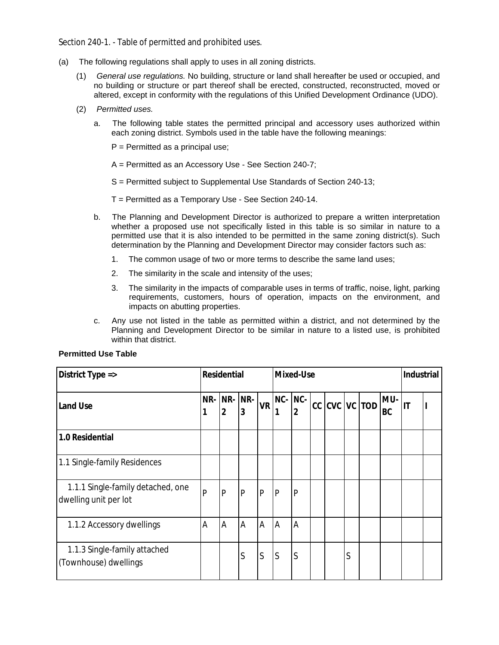Section 240-1. - Table of permitted and prohibited uses.

- (a) The following regulations shall apply to uses in all zoning districts.
	- (1) *General use regulations.* No building, structure or land shall hereafter be used or occupied, and no building or structure or part thereof shall be erected, constructed, reconstructed, moved or altered, except in conformity with the regulations of this Unified Development Ordinance (UDO).
	- (2) *Permitted uses.*
		- a. The following table states the permitted principal and accessory uses authorized within each zoning district. Symbols used in the table have the following meanings:

 $P =$  Permitted as a principal use;

A = Permitted as an Accessory Use - See Section 240-7;

S = Permitted subject to Supplemental Use Standards of Section 240-13;

T = Permitted as a Temporary Use - See Section 240-14.

- b. The Planning and Development Director is authorized to prepare a written interpretation whether a proposed use not specifically listed in this table is so similar in nature to a permitted use that it is also intended to be permitted in the same zoning district(s). Such determination by the Planning and Development Director may consider factors such as:
	- 1. The common usage of two or more terms to describe the same land uses;
	- 2. The similarity in the scale and intensity of the uses;
	- 3. The similarity in the impacts of comparable uses in terms of traffic, noise, light, parking requirements, customers, hours of operation, impacts on the environment, and impacts on abutting properties.
- c. Any use not listed in the table as permitted within a district, and not determined by the Planning and Development Director to be similar in nature to a listed use, is prohibited within that district.

| District Type =>                                           |   | <b>Residential</b>                 |   |              |              | <b>Mixed-Use</b> |               |   |                  | <b>Industrial</b>      |  |
|------------------------------------------------------------|---|------------------------------------|---|--------------|--------------|------------------|---------------|---|------------------|------------------------|--|
| <b>Land Use</b>                                            | 1 | $NR - NR - NR -$<br>$\overline{2}$ | 3 | <b>VR</b>    | NC- NC-<br>1 | 2                | CC CVC VC TOD |   | MU-<br><b>BC</b> | $\mathsf{I}\mathsf{T}$ |  |
| 1.0 Residential                                            |   |                                    |   |              |              |                  |               |   |                  |                        |  |
| 1.1 Single-family Residences                               |   |                                    |   |              |              |                  |               |   |                  |                        |  |
| 1.1.1 Single-family detached, one<br>dwelling unit per lot | P | $\mathsf{P}$                       | P | $\mathsf{P}$ | P            | P                |               |   |                  |                        |  |
| 1.1.2 Accessory dwellings                                  | A | A                                  | A | A            | lА           | A                |               |   |                  |                        |  |
| 1.1.3 Single-family attached<br>(Townhouse) dwellings      |   |                                    | S | S            | ls           | S                |               | S |                  |                        |  |

## **Permitted Use Table**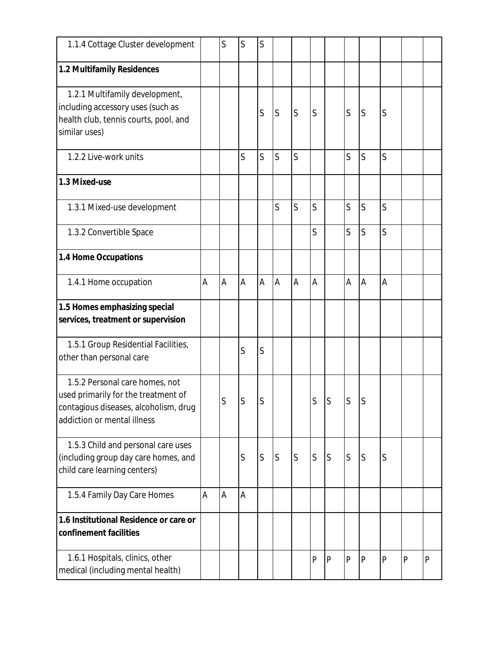| 1.1.4 Cottage Cluster development                                                                                                             |   | S | $\mathsf S$  | S           |                |              |             |                |              |                |                |   |              |
|-----------------------------------------------------------------------------------------------------------------------------------------------|---|---|--------------|-------------|----------------|--------------|-------------|----------------|--------------|----------------|----------------|---|--------------|
| 1.2 Multifamily Residences                                                                                                                    |   |   |              |             |                |              |             |                |              |                |                |   |              |
| 1.2.1 Multifamily development,<br>including accessory uses (such as<br>health club, tennis courts, pool, and<br>similar uses)                 |   |   |              | S           | ls             | S            | S           |                | S            | S              | S              |   |              |
| 1.2.2 Live-work units                                                                                                                         |   |   | S            | S           | $\overline{S}$ | S            |             |                | S            | S              | S              |   |              |
| 1.3 Mixed-use                                                                                                                                 |   |   |              |             |                |              |             |                |              |                |                |   |              |
| 1.3.1 Mixed-use development                                                                                                                   |   |   |              |             | $\mathsf{S}$   | $\mathsf{S}$ | S           |                | S            | S              | $\overline{S}$ |   |              |
| 1.3.2 Convertible Space                                                                                                                       |   |   |              |             |                |              | S           |                | $\mathsf{S}$ | S              | $\overline{S}$ |   |              |
| 1.4 Home Occupations                                                                                                                          |   |   |              |             |                |              |             |                |              |                |                |   |              |
| 1.4.1 Home occupation                                                                                                                         | A | A | A            | A           | $\mathsf A$    | A            | A           |                | A            | $\overline{A}$ | A              |   |              |
| 1.5 Homes emphasizing special<br>services, treatment or supervision                                                                           |   |   |              |             |                |              |             |                |              |                |                |   |              |
| 1.5.1 Group Residential Facilities,<br>other than personal care                                                                               |   |   | S            | S           |                |              |             |                |              |                |                |   |              |
| 1.5.2 Personal care homes, not<br>used primarily for the treatment of<br>contagious diseases, alcoholism, drug<br>addiction or mental illness |   | S | $\vert$ S    | S           |                |              | $\mathsf S$ | $\overline{S}$ | S            | S              |                |   |              |
| 1.5.3 Child and personal care uses<br>(including group day care homes, and<br>child care learning centers)                                    |   |   | $\mathsf{S}$ | $\mathsf S$ | ls             | $\mathsf S$  | S           | S              | $\mathsf S$  | S              | S              |   |              |
| 1.5.4 Family Day Care Homes                                                                                                                   | А | A | A            |             |                |              |             |                |              |                |                |   |              |
| 1.6 Institutional Residence or care or<br>confinement facilities                                                                              |   |   |              |             |                |              |             |                |              |                |                |   |              |
| 1.6.1 Hospitals, clinics, other<br>medical (including mental health)                                                                          |   |   |              |             |                |              | P           | P              | P            | $\mathsf{P}$   | P              | P | $\mathsf{P}$ |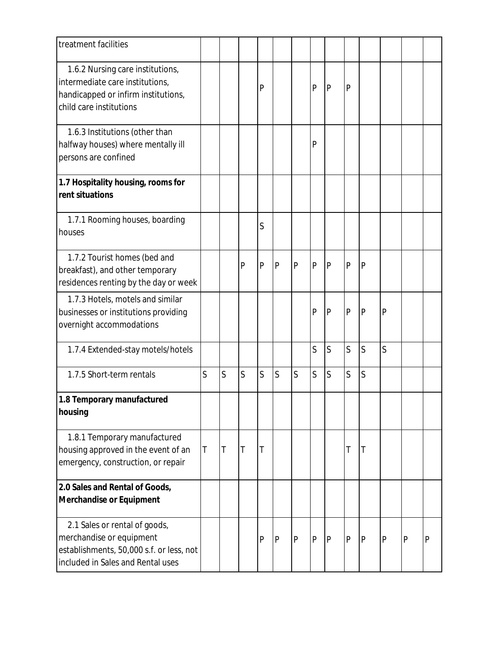| treatment facilities                                                                                                                       |   |        |              |   |                |   |              |                |              |              |              |              |              |
|--------------------------------------------------------------------------------------------------------------------------------------------|---|--------|--------------|---|----------------|---|--------------|----------------|--------------|--------------|--------------|--------------|--------------|
| 1.6.2 Nursing care institutions,<br>intermediate care institutions,<br>handicapped or infirm institutions,<br>child care institutions      |   |        |              | P |                |   | $\mathsf{P}$ | $\overline{P}$ | $\mathsf{P}$ |              |              |              |              |
| 1.6.3 Institutions (other than<br>halfway houses) where mentally ill<br>persons are confined                                               |   |        |              |   |                |   | P            |                |              |              |              |              |              |
| 1.7 Hospitality housing, rooms for<br>rent situations                                                                                      |   |        |              |   |                |   |              |                |              |              |              |              |              |
| 1.7.1 Rooming houses, boarding<br>houses                                                                                                   |   |        |              | S |                |   |              |                |              |              |              |              |              |
| 1.7.2 Tourist homes (bed and<br>breakfast), and other temporary<br>residences renting by the day or week                                   |   |        | $\mathsf{P}$ | P | P              | P | Ρ            | P              | P            | P            |              |              |              |
| 1.7.3 Hotels, motels and similar<br>businesses or institutions providing<br>overnight accommodations                                       |   |        |              |   |                |   | P            | $\mathsf{P}$   | P            | $\mathsf{P}$ | P            |              |              |
| 1.7.4 Extended-stay motels/hotels                                                                                                          |   |        |              |   |                |   | S            | S              | S            | S            | S            |              |              |
| 1.7.5 Short-term rentals                                                                                                                   | S | S      | S            | S | $\overline{S}$ | S | S            | S              | S            | S            |              |              |              |
| 1.8 Temporary manufactured<br>housing                                                                                                      |   |        |              |   |                |   |              |                |              |              |              |              |              |
| 1.8.1 Temporary manufactured<br>housing approved in the event of an<br>emergency, construction, or repair                                  | T | $\top$ | T            | T |                |   |              |                | T            | Τ            |              |              |              |
| 2.0 Sales and Rental of Goods,<br><b>Merchandise or Equipment</b>                                                                          |   |        |              |   |                |   |              |                |              |              |              |              |              |
| 2.1 Sales or rental of goods,<br>merchandise or equipment<br>establishments, 50,000 s.f. or less, not<br>included in Sales and Rental uses |   |        |              | P | P              | P | P            | P              | $\mathsf{P}$ | P            | $\mathsf{P}$ | $\mathsf{P}$ | $\mathsf{P}$ |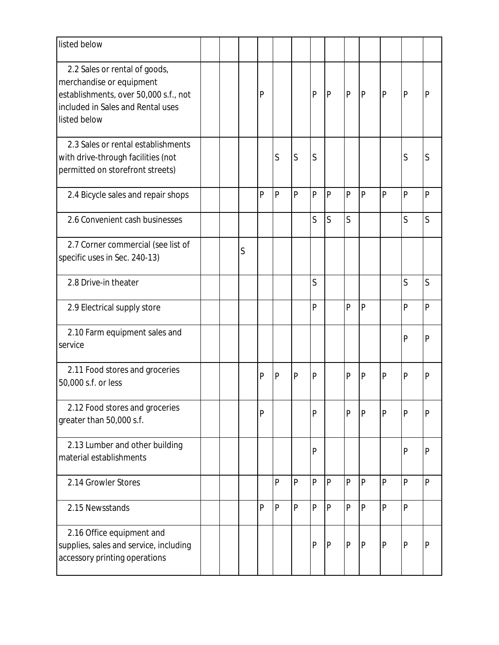| listed below                                                                                                                                            |  |   |              |                         |                         |              |              |              |                |                |                |              |
|---------------------------------------------------------------------------------------------------------------------------------------------------------|--|---|--------------|-------------------------|-------------------------|--------------|--------------|--------------|----------------|----------------|----------------|--------------|
| 2.2 Sales or rental of goods,<br>merchandise or equipment<br>establishments, over 50,000 s.f., not<br>included in Sales and Rental uses<br>listed below |  |   | P            |                         |                         | P            | l P          | $\mathsf{P}$ | P              | $\overline{P}$ | $\overline{P}$ | P            |
| 2.3 Sales or rental establishments<br>with drive-through facilities (not<br>permitted on storefront streets)                                            |  |   |              | $\overline{\mathsf{S}}$ | $\overline{\mathsf{S}}$ | S            |              |              |                |                | S              | S            |
| 2.4 Bicycle sales and repair shops                                                                                                                      |  |   | P            | P                       | P                       | $\mathsf{P}$ | $\mathsf{P}$ | P            | P              | P              | $\overline{P}$ | $\mathsf{P}$ |
| 2.6 Convenient cash businesses                                                                                                                          |  |   |              |                         |                         | $\mathsf S$  | $\mathsf S$  | $\mathsf S$  |                |                | S              | $\mathsf S$  |
| 2.7 Corner commercial (see list of<br>specific uses in Sec. 240-13)                                                                                     |  | S |              |                         |                         |              |              |              |                |                |                |              |
| 2.8 Drive-in theater                                                                                                                                    |  |   |              |                         |                         | S            |              |              |                |                | S              | S            |
| 2.9 Electrical supply store                                                                                                                             |  |   |              |                         |                         | $\mathsf{P}$ |              | P            | P              |                | $\overline{P}$ | $\mathsf{P}$ |
| 2.10 Farm equipment sales and<br>service                                                                                                                |  |   |              |                         |                         |              |              |              |                |                | $\overline{P}$ | P            |
| 2.11 Food stores and groceries<br>50,000 s.f. or less                                                                                                   |  |   | P            | $\mathsf{P}$            | P                       | P            |              | P            | P              | $\mathsf{P}$   | $\overline{P}$ | $\mathsf{P}$ |
| 2.12 Food stores and groceries<br>greater than 50,000 s.f.                                                                                              |  |   | $\mathsf{P}$ |                         |                         | P            |              | P            | $\mathsf{P}$   | $\mathsf{P}$   | $\mathsf{P}$   | P            |
| 2.13 Lumber and other building<br>material establishments                                                                                               |  |   |              |                         |                         | P            |              |              |                |                | $\overline{P}$ | $\mathsf{P}$ |
| 2.14 Growler Stores                                                                                                                                     |  |   |              | P                       | P                       | $\mathsf{P}$ | $\mathsf{P}$ | P            | $\mathsf{P}$   | $\mathsf{P}$   | $\overline{P}$ | $\mathsf{P}$ |
| 2.15 Newsstands                                                                                                                                         |  |   | $\mathsf{P}$ | P                       | P                       | $\mathsf{P}$ | P            | P            | $\overline{P}$ | $\mathsf{P}$   | $\overline{P}$ |              |
| 2.16 Office equipment and<br>supplies, sales and service, including<br>accessory printing operations                                                    |  |   |              |                         |                         | $\mathsf{P}$ | P            | P            | P              | $\mathsf{P}$   | $\overline{P}$ | P            |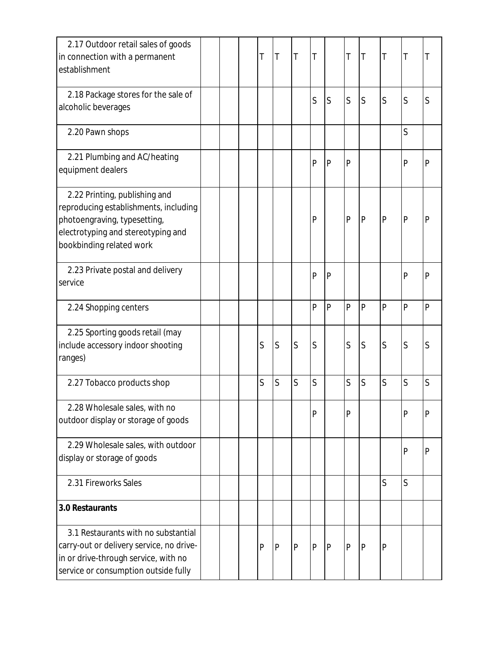| 2.17 Outdoor retail sales of goods<br>in connection with a permanent<br>establishment                                                                                    |  | T | T | Τ              | T            |              | T            | Τ            | T              | $\top$         | Τ            |
|--------------------------------------------------------------------------------------------------------------------------------------------------------------------------|--|---|---|----------------|--------------|--------------|--------------|--------------|----------------|----------------|--------------|
| 2.18 Package stores for the sale of<br>alcoholic beverages                                                                                                               |  |   |   |                | S            | S            | $\mathsf S$  | S            | S              | S              | S            |
| 2.20 Pawn shops                                                                                                                                                          |  |   |   |                |              |              |              |              |                | S              |              |
| 2.21 Plumbing and AC/heating<br>equipment dealers                                                                                                                        |  |   |   |                | $\mathsf{P}$ | $\mathsf{P}$ | P            |              |                | $\overline{P}$ | $\mathsf{P}$ |
| 2.22 Printing, publishing and<br>reproducing establishments, including<br>photoengraving, typesetting,<br>electrotyping and stereotyping and<br>bookbinding related work |  |   |   |                | $\mathsf{P}$ |              | P            | P            | $\mathsf{P}$   | $\overline{P}$ | P            |
| 2.23 Private postal and delivery<br>service                                                                                                                              |  |   |   |                | $\mathsf{P}$ | $\mathsf{P}$ |              |              |                | $\mathsf{P}$   | P            |
| 2.24 Shopping centers                                                                                                                                                    |  |   |   |                | $\mathsf{P}$ | $\mathsf{P}$ | P            | $\mathsf{P}$ | $\overline{P}$ | $\overline{P}$ | P            |
| 2.25 Sporting goods retail (may<br>include accessory indoor shooting<br>ranges)                                                                                          |  | S | S | S              | S            |              | S            | S            | S              | S              | S            |
| 2.27 Tobacco products shop                                                                                                                                               |  | S | S | S              | S            |              | Ś            | S            | S              | S              | S            |
| 2.28 Wholesale sales, with no<br>outdoor display or storage of goods                                                                                                     |  |   |   |                | P            |              | P            |              |                | $\mathsf{P}$   | P            |
| 2.29 Wholesale sales, with outdoor<br>display or storage of goods                                                                                                        |  |   |   |                |              |              |              |              |                | $\mathsf{P}$   | $\mathsf{P}$ |
| 2.31 Fireworks Sales                                                                                                                                                     |  |   |   |                |              |              |              |              | S              | S              |              |
| 3.0 Restaurants                                                                                                                                                          |  |   |   |                |              |              |              |              |                |                |              |
| 3.1 Restaurants with no substantial<br>carry-out or delivery service, no drive-<br>in or drive-through service, with no<br>service or consumption outside fully          |  | P | P | $\overline{P}$ | P            | P            | $\mathsf{P}$ | $\mathsf{P}$ | $\mathsf{P}$   |                |              |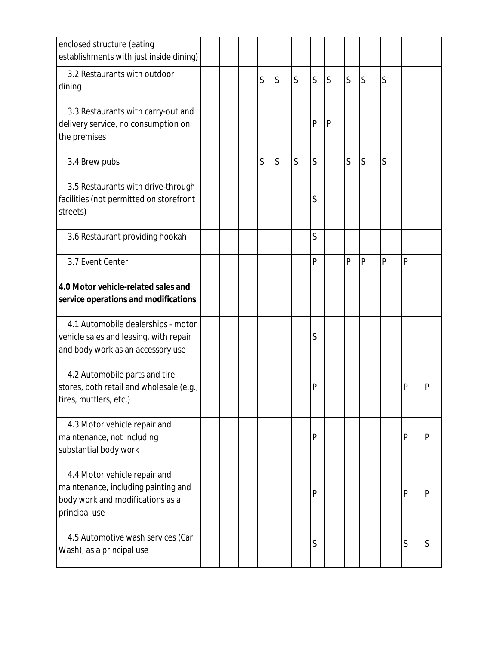| enclosed structure (eating<br>establishments with just inside dining)                                                    |  |              |                         |   |   |              |              |   |   |              |              |
|--------------------------------------------------------------------------------------------------------------------------|--|--------------|-------------------------|---|---|--------------|--------------|---|---|--------------|--------------|
| 3.2 Restaurants with outdoor<br>dining                                                                                   |  | $\mathsf{S}$ | $\overline{\mathsf{S}}$ | S | S | S            | S            | S | S |              |              |
| 3.3 Restaurants with carry-out and<br>delivery service, no consumption on<br>the premises                                |  |              |                         |   | P | $\mathsf{P}$ |              |   |   |              |              |
| 3.4 Brew pubs                                                                                                            |  | S            | $\overline{S}$          | S | S |              | Ś            | S | S |              |              |
| 3.5 Restaurants with drive-through<br>facilities (not permitted on storefront<br>streets)                                |  |              |                         |   | S |              |              |   |   |              |              |
| 3.6 Restaurant providing hookah                                                                                          |  |              |                         |   | Ś |              |              |   |   |              |              |
| 3.7 Event Center                                                                                                         |  |              |                         |   | P |              | $\mathsf{P}$ | P | P | P            |              |
| 4.0 Motor vehicle-related sales and<br>service operations and modifications                                              |  |              |                         |   |   |              |              |   |   |              |              |
| 4.1 Automobile dealerships - motor<br>vehicle sales and leasing, with repair<br>and body work as an accessory use        |  |              |                         |   | S |              |              |   |   |              |              |
| 4.2 Automobile parts and tire<br>stores, both retail and wholesale (e.g.,<br>tires, mufflers, etc.)                      |  |              |                         |   | P |              |              |   |   | $\mathsf{P}$ | $\mathsf{P}$ |
| 4.3 Motor vehicle repair and<br>maintenance, not including<br>substantial body work                                      |  |              |                         |   | P |              |              |   |   | $\mathsf{P}$ | P            |
| 4.4 Motor vehicle repair and<br>maintenance, including painting and<br>body work and modifications as a<br>principal use |  |              |                         |   | P |              |              |   |   | $\mathsf{P}$ | $\mathsf{P}$ |
| 4.5 Automotive wash services (Car<br>Wash), as a principal use                                                           |  |              |                         |   | S |              |              |   |   | S            | S            |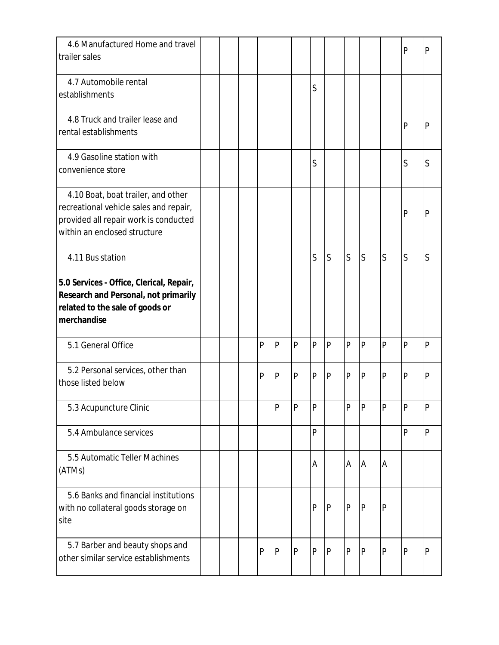| 4.6 Manufactured Home and travel<br>trailer sales                                                                                                     |  |   |              |                |              |              |              |              |                | $\overline{P}$ | P            |
|-------------------------------------------------------------------------------------------------------------------------------------------------------|--|---|--------------|----------------|--------------|--------------|--------------|--------------|----------------|----------------|--------------|
| 4.7 Automobile rental<br>establishments                                                                                                               |  |   |              |                | S            |              |              |              |                |                |              |
| 4.8 Truck and trailer lease and<br>rental establishments                                                                                              |  |   |              |                |              |              |              |              |                | $\mathsf{P}$   | P            |
| 4.9 Gasoline station with<br>convenience store                                                                                                        |  |   |              |                | S            |              |              |              |                | S              | S            |
| 4.10 Boat, boat trailer, and other<br>recreational vehicle sales and repair,<br>provided all repair work is conducted<br>within an enclosed structure |  |   |              |                |              |              |              |              |                | $\mathsf{P}$   | P            |
| 4.11 Bus station                                                                                                                                      |  |   |              |                | S            | S            | $\mathsf S$  | S            | S              | S              | $\mathsf S$  |
| 5.0 Services - Office, Clerical, Repair,<br>Research and Personal, not primarily<br>related to the sale of goods or<br>merchandise                    |  |   |              |                |              |              |              |              |                |                |              |
| 5.1 General Office                                                                                                                                    |  | P | P            | P              | P            | $\mathsf{P}$ | P            | $\mathsf{P}$ | P              | $\mathsf{P}$   | P            |
| 5.2 Personal services, other than<br>those listed below                                                                                               |  | P | P            | $\mathsf{P}$   | P            | P            | P            | P            | $\mathsf{P}$   | $\mathsf{P}$   | P            |
| 5.3 Acupuncture Clinic                                                                                                                                |  |   | $\mathsf{P}$ | $\mathsf{P}$   | $\mathsf{P}$ |              | P            | $\mathsf{P}$ | $\overline{P}$ | $\overline{P}$ | $\mathsf{P}$ |
| 5.4 Ambulance services                                                                                                                                |  |   |              |                | P            |              |              |              |                | $\overline{P}$ | $\mathsf{P}$ |
| 5.5 Automatic Teller Machines<br>(ATMs)                                                                                                               |  |   |              |                | А            |              | А            | A            | A              |                |              |
| 5.6 Banks and financial institutions<br>with no collateral goods storage on<br>site                                                                   |  |   |              |                | P            | P            | $\mathsf{P}$ | P            | $\mathsf{P}$   |                |              |
| 5.7 Barber and beauty shops and<br>other similar service establishments                                                                               |  | P | $\mathsf{P}$ | $\overline{P}$ | P            | P            | P            | P            | $\mathsf{P}$   | $\overline{P}$ | $\mathsf{P}$ |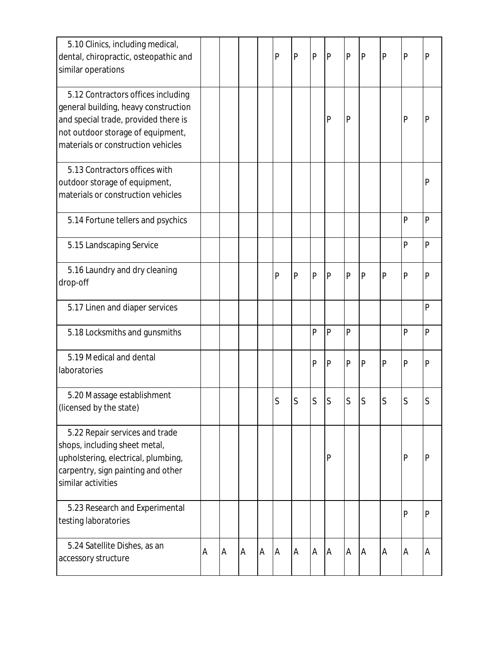| 5.10 Clinics, including medical,<br>dental, chiropractic, osteopathic and                                                                                                                     |   |   |                |   | P | $\mathsf{P}$ | $\mathsf{P}$ | P            | P              | $\overline{P}$ | P | $\mathsf{P}$   | $\mathsf{P}$ |
|-----------------------------------------------------------------------------------------------------------------------------------------------------------------------------------------------|---|---|----------------|---|---|--------------|--------------|--------------|----------------|----------------|---|----------------|--------------|
| similar operations                                                                                                                                                                            |   |   |                |   |   |              |              |              |                |                |   |                |              |
| 5.12 Contractors offices including<br>general building, heavy construction<br>and special trade, provided there is<br>not outdoor storage of equipment,<br>materials or construction vehicles |   |   |                |   |   |              |              | P            | P              |                |   | $\overline{P}$ | P            |
| 5.13 Contractors offices with<br>outdoor storage of equipment,<br>materials or construction vehicles                                                                                          |   |   |                |   |   |              |              |              |                |                |   |                | P            |
| 5.14 Fortune tellers and psychics                                                                                                                                                             |   |   |                |   |   |              |              |              |                |                |   | $\overline{P}$ | P            |
| 5.15 Landscaping Service                                                                                                                                                                      |   |   |                |   |   |              |              |              |                |                |   | P              | $\mathsf{P}$ |
| 5.16 Laundry and dry cleaning<br>drop-off                                                                                                                                                     |   |   |                |   | P | P            | $\mathsf{P}$ | P            | $\mathsf{P}$   | P              | P | $\mathsf{P}$   | P            |
| 5.17 Linen and diaper services                                                                                                                                                                |   |   |                |   |   |              |              |              |                |                |   |                | $\mathsf{P}$ |
| 5.18 Locksmiths and gunsmiths                                                                                                                                                                 |   |   |                |   |   |              | $\mathsf{P}$ | $\mathsf{P}$ | $\overline{P}$ |                |   | $\overline{P}$ | P            |
| 5.19 Medical and dental<br>laboratories                                                                                                                                                       |   |   |                |   |   |              | P            | P            | P              | P              | P | $\mathsf{P}$   | P            |
| 5.20 Massage establishment<br>(licensed by the state)                                                                                                                                         |   |   |                |   | S | S            | $\mathsf{S}$ | S            | S              | S              | S | S              | S            |
| 5.22 Repair services and trade<br>shops, including sheet metal,<br>upholstering, electrical, plumbing,<br>carpentry, sign painting and other<br>similar activities                            |   |   |                |   |   |              |              | P            |                |                |   | $\mathsf{P}$   | $\mathsf{P}$ |
| 5.23 Research and Experimental<br>testing laboratories                                                                                                                                        |   |   |                |   |   |              |              |              |                |                |   | $\overline{P}$ | $\mathsf{P}$ |
| 5.24 Satellite Dishes, as an<br>accessory structure                                                                                                                                           | Α | A | $\overline{A}$ | A | A | A            | A            | A            | A              | $\overline{A}$ | Α | A              | A            |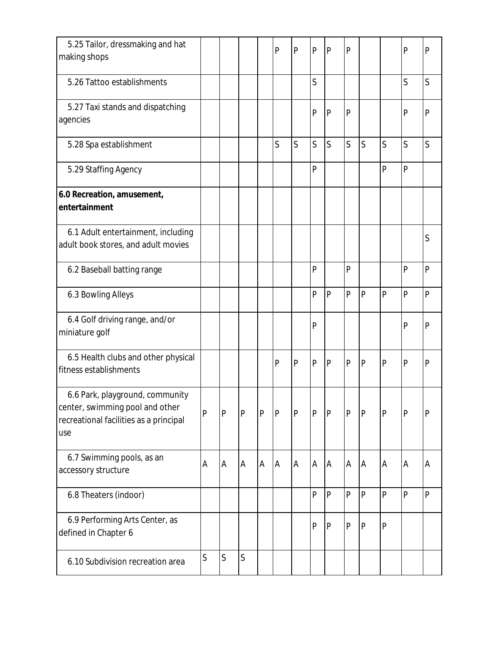| 5.25 Tailor, dressmaking and hat<br>making shops                                                                    |   |                |              |   | P            | P | P | $\mathsf{P}$ | $\mathsf{P}$ |                |                | P              | $\mathsf{P}$ |
|---------------------------------------------------------------------------------------------------------------------|---|----------------|--------------|---|--------------|---|---|--------------|--------------|----------------|----------------|----------------|--------------|
| 5.26 Tattoo establishments                                                                                          |   |                |              |   |              |   | S |              |              |                |                | S              | S            |
| 5.27 Taxi stands and dispatching<br>agencies                                                                        |   |                |              |   |              |   | P | $\mathsf{P}$ | $\mathsf{P}$ |                |                | $\mathsf{P}$   | $\mathsf{P}$ |
| 5.28 Spa establishment                                                                                              |   |                |              |   | S            | S | S | S            | S            | S              | S              | S              | S            |
| 5.29 Staffing Agency                                                                                                |   |                |              |   |              |   | P |              |              |                | $\mathsf{P}$   | $\overline{P}$ |              |
| 6.0 Recreation, amusement,<br>entertainment                                                                         |   |                |              |   |              |   |   |              |              |                |                |                |              |
| 6.1 Adult entertainment, including<br>adult book stores, and adult movies                                           |   |                |              |   |              |   |   |              |              |                |                |                | S            |
| 6.2 Baseball batting range                                                                                          |   |                |              |   |              |   | P |              | $\mathsf{P}$ |                |                | P              | P            |
| 6.3 Bowling Alleys                                                                                                  |   |                |              |   |              |   | P | $\mathsf{P}$ | $\mathsf{P}$ | $\overline{P}$ | $\mathsf{P}$   | $\mathsf{P}$   | $\mathsf{P}$ |
| 6.4 Golf driving range, and/or<br>miniature golf                                                                    |   |                |              |   |              |   | P |              |              |                |                | P              | $\mathsf{P}$ |
| 6.5 Health clubs and other physical<br>fitness establishments                                                       |   |                |              |   | P            | P | P | P            | $\mathsf{P}$ | $\mathsf{P}$   | $\mathsf{P}$   | $\mathsf{P}$   | $\mathsf{P}$ |
| 6.6 Park, playground, community<br>center, swimming pool and other<br>recreational facilities as a principal<br>use | P | $\overline{P}$ | $\mathsf{P}$ | P | $\mathsf{P}$ | P | P | P            | P            | $\overline{P}$ | $\mathsf{P}$   | $\overline{P}$ | $\mathsf{P}$ |
| 6.7 Swimming pools, as an<br>accessory structure                                                                    | A | A              | Α            | A | A            | A | A | A            | A            | $\overline{A}$ | A              | A              | A            |
| 6.8 Theaters (indoor)                                                                                               |   |                |              |   |              |   | P | P            | $\mathsf{P}$ | $\overline{P}$ | $\overline{P}$ | $\overline{P}$ | $\mathsf{P}$ |
| 6.9 Performing Arts Center, as<br>defined in Chapter 6                                                              |   |                |              |   |              |   | P | P            | P            | $\mathsf{P}$   | P              |                |              |
| 6.10 Subdivision recreation area                                                                                    | S | S              | S            |   |              |   |   |              |              |                |                |                |              |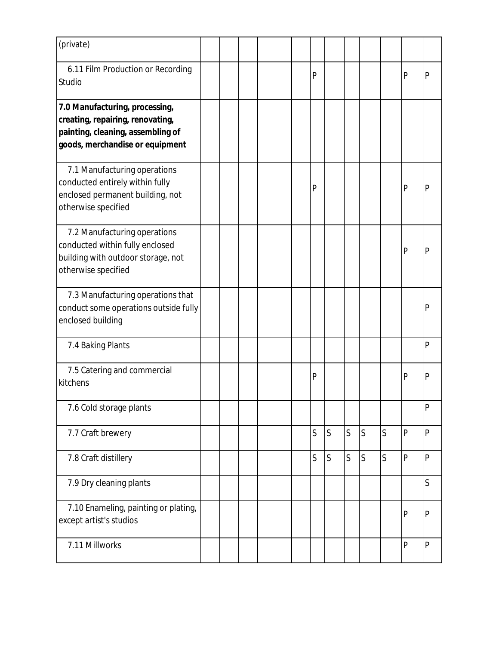| (private)                                                                                                                                  |  |  |  |              |              |              |              |              |              |              |
|--------------------------------------------------------------------------------------------------------------------------------------------|--|--|--|--------------|--------------|--------------|--------------|--------------|--------------|--------------|
| 6.11 Film Production or Recording<br>Studio                                                                                                |  |  |  | P            |              |              |              |              | P            | $\mathsf{P}$ |
| 7.0 Manufacturing, processing,<br>creating, repairing, renovating,<br>painting, cleaning, assembling of<br>goods, merchandise or equipment |  |  |  |              |              |              |              |              |              |              |
| 7.1 Manufacturing operations<br>conducted entirely within fully<br>enclosed permanent building, not<br>otherwise specified                 |  |  |  | P            |              |              |              |              | P            | $\mathsf{P}$ |
| 7.2 Manufacturing operations<br>conducted within fully enclosed<br>building with outdoor storage, not<br>otherwise specified               |  |  |  |              |              |              |              |              | $\mathsf{P}$ | $\mathsf{P}$ |
| 7.3 Manufacturing operations that<br>conduct some operations outside fully<br>enclosed building                                            |  |  |  |              |              |              |              |              |              | P            |
| 7.4 Baking Plants                                                                                                                          |  |  |  |              |              |              |              |              |              | P            |
| 7.5 Catering and commercial<br>kitchens                                                                                                    |  |  |  | P            |              |              |              |              | P            | P            |
| 7.6 Cold storage plants                                                                                                                    |  |  |  |              |              |              |              |              |              | $\mathsf{P}$ |
| 7.7 Craft brewery                                                                                                                          |  |  |  | $\mathsf{S}$ | S            | $\mathsf S$  | S            | $\mathsf{S}$ | $\mathsf{P}$ | $\mathsf{P}$ |
| 7.8 Craft distillery                                                                                                                       |  |  |  | $\mathsf{S}$ | $\mathsf{S}$ | $\mathsf{S}$ | <sub>S</sub> | S            | P            | $\mathsf{P}$ |
| 7.9 Dry cleaning plants                                                                                                                    |  |  |  |              |              |              |              |              |              | S            |
| 7.10 Enameling, painting or plating,<br>except artist's studios                                                                            |  |  |  |              |              |              |              |              | P            | P            |
| 7.11 Millworks                                                                                                                             |  |  |  |              |              |              |              |              | P            | $\mathsf{P}$ |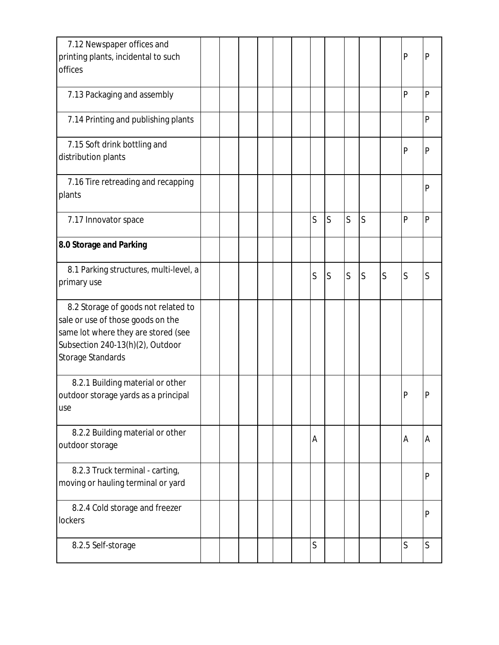| 7.12 Newspaper offices and             |  |  |  |   |   |   |              |   |                |              |
|----------------------------------------|--|--|--|---|---|---|--------------|---|----------------|--------------|
| printing plants, incidental to such    |  |  |  |   |   |   |              |   | $\mathsf{P}$   | $\mathsf{P}$ |
| offices                                |  |  |  |   |   |   |              |   |                |              |
| 7.13 Packaging and assembly            |  |  |  |   |   |   |              |   | P              | P            |
|                                        |  |  |  |   |   |   |              |   |                |              |
| 7.14 Printing and publishing plants    |  |  |  |   |   |   |              |   |                | $\mathsf{P}$ |
|                                        |  |  |  |   |   |   |              |   |                |              |
| 7.15 Soft drink bottling and           |  |  |  |   |   |   |              |   | $\mathsf{P}$   | $\mathsf{P}$ |
| distribution plants                    |  |  |  |   |   |   |              |   |                |              |
|                                        |  |  |  |   |   |   |              |   |                |              |
| 7.16 Tire retreading and recapping     |  |  |  |   |   |   |              |   |                | $\mathsf{P}$ |
| plants                                 |  |  |  |   |   |   |              |   |                |              |
| 7.17 Innovator space                   |  |  |  | S | S | S | $\mathsf{S}$ |   | $\overline{P}$ | P            |
|                                        |  |  |  |   |   |   |              |   |                |              |
| 8.0 Storage and Parking                |  |  |  |   |   |   |              |   |                |              |
|                                        |  |  |  |   |   |   |              |   |                |              |
| 8.1 Parking structures, multi-level, a |  |  |  | S | S | S | S            | S | <sub>S</sub>   | S            |
| primary use                            |  |  |  |   |   |   |              |   |                |              |
| 8.2 Storage of goods not related to    |  |  |  |   |   |   |              |   |                |              |
| sale or use of those goods on the      |  |  |  |   |   |   |              |   |                |              |
| same lot where they are stored (see    |  |  |  |   |   |   |              |   |                |              |
| Subsection 240-13(h)(2), Outdoor       |  |  |  |   |   |   |              |   |                |              |
| Storage Standards                      |  |  |  |   |   |   |              |   |                |              |
|                                        |  |  |  |   |   |   |              |   |                |              |
| 8.2.1 Building material or other       |  |  |  |   |   |   |              |   |                |              |
| outdoor storage yards as a principal   |  |  |  |   |   |   |              |   | $\mathsf{P}$   | P            |
| use                                    |  |  |  |   |   |   |              |   |                |              |
| 8.2.2 Building material or other       |  |  |  |   |   |   |              |   |                |              |
| outdoor storage                        |  |  |  | А |   |   |              |   | A              | A            |
|                                        |  |  |  |   |   |   |              |   |                |              |
| 8.2.3 Truck terminal - carting,        |  |  |  |   |   |   |              |   |                | $\mathsf{P}$ |
| moving or hauling terminal or yard     |  |  |  |   |   |   |              |   |                |              |
| 8.2.4 Cold storage and freezer         |  |  |  |   |   |   |              |   |                |              |
| lockers                                |  |  |  |   |   |   |              |   |                | $\mathsf{P}$ |
|                                        |  |  |  |   |   |   |              |   |                |              |
| 8.2.5 Self-storage                     |  |  |  | S |   |   |              |   | <sub>S</sub>   | S            |
|                                        |  |  |  |   |   |   |              |   |                |              |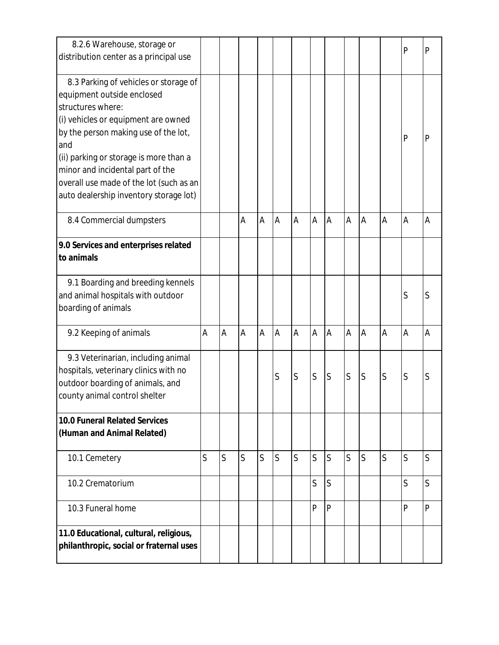| 8.2.6 Warehouse, storage or<br>distribution center as a principal use                                                                                                                                                                                                                                                                             |   |   |              |                |                |                         |                |                |              |                |                | $\mathsf{P}$   | $\mathsf{P}$ |
|---------------------------------------------------------------------------------------------------------------------------------------------------------------------------------------------------------------------------------------------------------------------------------------------------------------------------------------------------|---|---|--------------|----------------|----------------|-------------------------|----------------|----------------|--------------|----------------|----------------|----------------|--------------|
| 8.3 Parking of vehicles or storage of<br>equipment outside enclosed<br>structures where:<br>(i) vehicles or equipment are owned<br>by the person making use of the lot,<br>and<br>(ii) parking or storage is more than a<br>minor and incidental part of the<br>overall use made of the lot (such as an<br>auto dealership inventory storage lot) |   |   |              |                |                |                         |                |                |              |                |                | $\mathsf{P}$   | $\mathsf{P}$ |
| 8.4 Commercial dumpsters                                                                                                                                                                                                                                                                                                                          |   |   | Α            | $\overline{A}$ | $\overline{A}$ | $\overline{A}$          | $\overline{A}$ | $\overline{A}$ | A            | ΙA             | $\overline{A}$ | $\overline{A}$ | A            |
| 9.0 Services and enterprises related<br>to animals                                                                                                                                                                                                                                                                                                |   |   |              |                |                |                         |                |                |              |                |                |                |              |
| 9.1 Boarding and breeding kennels<br>and animal hospitals with outdoor<br>boarding of animals                                                                                                                                                                                                                                                     |   |   |              |                |                |                         |                |                |              |                |                | S              | S            |
| 9.2 Keeping of animals                                                                                                                                                                                                                                                                                                                            | A | A | A            | A              | A              | A                       | A              | A              | A            | $\overline{A}$ | A              | $\overline{A}$ | A            |
| 9.3 Veterinarian, including animal<br>hospitals, veterinary clinics with no<br>outdoor boarding of animals, and<br>county animal control shelter                                                                                                                                                                                                  |   |   |              |                | S              | $\vert$ S               | $\mathsf{S}$   | S              | S            | S              | S              | S              | S            |
| <b>10.0 Funeral Related Services</b><br>(Human and Animal Related)                                                                                                                                                                                                                                                                                |   |   |              |                |                |                         |                |                |              |                |                |                |              |
| 10.1 Cemetery                                                                                                                                                                                                                                                                                                                                     | S | S | $\mathsf{S}$ | S              | $\overline{S}$ | $\overline{\mathsf{S}}$ | S              | S              | $\mathsf{S}$ | S              | $\overline{S}$ | $\overline{S}$ | S            |
| 10.2 Crematorium                                                                                                                                                                                                                                                                                                                                  |   |   |              |                |                |                         | S              | S              |              |                |                | S              | S            |
| 10.3 Funeral home                                                                                                                                                                                                                                                                                                                                 |   |   |              |                |                |                         | $\mathsf{P}$   | $\mathsf{P}$   |              |                |                | $\mathsf{P}$   | P            |
| 11.0 Educational, cultural, religious,<br>philanthropic, social or fraternal uses                                                                                                                                                                                                                                                                 |   |   |              |                |                |                         |                |                |              |                |                |                |              |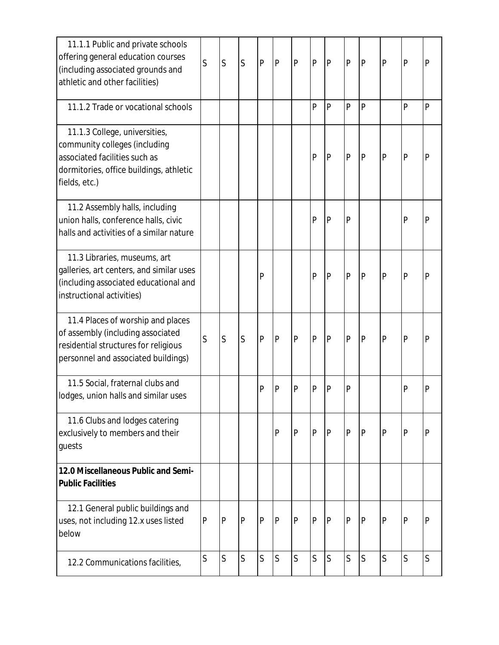| 11.1.1 Public and private schools<br>offering general education courses<br>(including associated grounds and<br>athletic and other facilities)              | $\mathsf{S}$ | $\mathsf{S}$ | $\mathsf{S}% _{T}=\mathsf{S}_{T}\!\left( a,b\right) ,\ \mathsf{S}_{T}=\mathsf{S}_{T}\!\left( a,b\right) ,\ \mathsf{S}_{T}=\mathsf{S}_{T}\!\left( a,b\right) ,\ \mathsf{S}_{T}=\mathsf{S}_{T}\!\left( a,b\right) ,\ \mathsf{S}_{T}=\mathsf{S}_{T}\!\left( a,b\right) ,\ \mathsf{S}_{T}=\mathsf{S}_{T}\!\left( a,b\right) ,\ \mathsf{S}_{T}=\mathsf{S}_{T}\!\left( a,b\right) ,\ \mathsf{S}_{T}=\mathsf{S}_{T}\!\left( a,b\right) ,\ \mathsf{S}_{T}=\math$ | $\mathsf{P}$ | $\mathsf{P}$ | P            | $\mathsf{P}$ | $\mathsf{P}$   | $\overline{P}$ | $\overline{P}$ | P              | $\mathsf{P}$ | P              |
|-------------------------------------------------------------------------------------------------------------------------------------------------------------|--------------|--------------|----------------------------------------------------------------------------------------------------------------------------------------------------------------------------------------------------------------------------------------------------------------------------------------------------------------------------------------------------------------------------------------------------------------------------------------------------------|--------------|--------------|--------------|--------------|----------------|----------------|----------------|----------------|--------------|----------------|
| 11.1.2 Trade or vocational schools                                                                                                                          |              |              |                                                                                                                                                                                                                                                                                                                                                                                                                                                          |              |              |              | P            | $\mathsf{P}$   | $\mathsf{P}$   | $\overline{P}$ |                | $\mathsf{P}$ | $\overline{P}$ |
| 11.1.3 College, universities,<br>community colleges (including<br>associated facilities such as<br>dormitories, office buildings, athletic<br>fields, etc.) |              |              |                                                                                                                                                                                                                                                                                                                                                                                                                                                          |              |              |              | $\mathsf{P}$ | $\mathsf{P}$   | $\overline{P}$ | P              | P              | $\mathsf{P}$ | $\mathsf{P}$   |
| 11.2 Assembly halls, including<br>union halls, conference halls, civic<br>halls and activities of a similar nature                                          |              |              |                                                                                                                                                                                                                                                                                                                                                                                                                                                          |              |              |              | P            | $\overline{P}$ | $\mathsf{P}$   |                |                | $\mathsf{P}$ | P              |
| 11.3 Libraries, museums, art<br>galleries, art centers, and similar uses<br>(including associated educational and<br>instructional activities)              |              |              |                                                                                                                                                                                                                                                                                                                                                                                                                                                          | $\mathsf{P}$ |              |              | P            | P              | $\mathsf{P}$   | $\overline{P}$ | P              | $\mathsf{P}$ | P              |
| 11.4 Places of worship and places<br>of assembly (including associated<br>residential structures for religious<br>personnel and associated buildings)       | S            | S            | $\vert$ S                                                                                                                                                                                                                                                                                                                                                                                                                                                | P            | P            | P            | $\mathsf{P}$ | $\overline{P}$ | P              | P              | $\mathsf{P}$   | $\mathsf{P}$ | P              |
| 11.5 Social, fraternal clubs and<br>lodges, union halls and similar uses                                                                                    |              |              |                                                                                                                                                                                                                                                                                                                                                                                                                                                          | $\mathsf{P}$ | P            | P            | P            | P              | $\mathsf{P}$   |                |                | P            | P              |
| 11.6 Clubs and lodges catering<br>exclusively to members and their<br>guests                                                                                |              |              |                                                                                                                                                                                                                                                                                                                                                                                                                                                          |              | P            | P            | P            | $\mathsf{P}$   | P              | P              | P              | P            | $\mathsf{P}$   |
| 12.0 Miscellaneous Public and Semi-<br><b>Public Facilities</b>                                                                                             |              |              |                                                                                                                                                                                                                                                                                                                                                                                                                                                          |              |              |              |              |                |                |                |                |              |                |
| 12.1 General public buildings and<br>uses, not including 12.x uses listed<br>below                                                                          | P            | P            | $\overline{P}$                                                                                                                                                                                                                                                                                                                                                                                                                                           | $\mathsf{P}$ | $\mathsf{P}$ | P            | P            | $\mathsf{P}$   | $\mathsf{P}$   | $\overline{P}$ | P              | P            | P              |
| 12.2 Communications facilities,                                                                                                                             | $\mathsf{S}$ | $\mathsf{S}$ | $\overline{\mathsf{S}}$                                                                                                                                                                                                                                                                                                                                                                                                                                  | $\mathsf{S}$ | $\mathsf{S}$ | $\mathsf{S}$ | $\mathsf{S}$ | <sub>S</sub>   | $\overline{S}$ | ls             | $\overline{S}$ | S            | S              |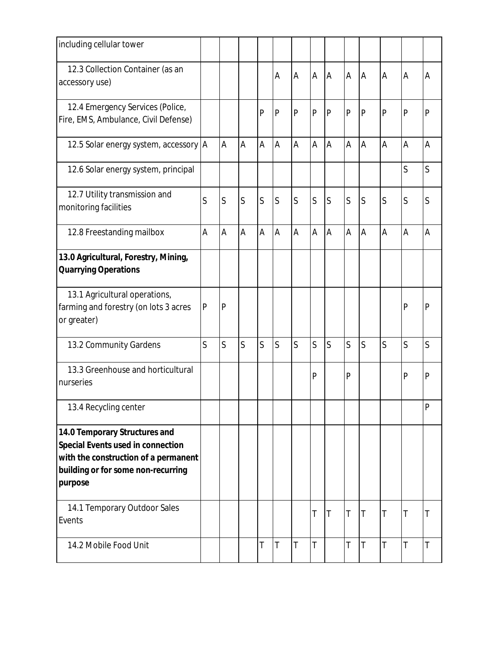| including cellular tower                                                                                                                                    |              |              |                |                 |              |   |              |              |              |                |                |                         |              |
|-------------------------------------------------------------------------------------------------------------------------------------------------------------|--------------|--------------|----------------|-----------------|--------------|---|--------------|--------------|--------------|----------------|----------------|-------------------------|--------------|
| 12.3 Collection Container (as an<br>accessory use)                                                                                                          |              |              |                |                 | Α            | A | A            | A            | A            | A              | A              | $\overline{A}$          | A            |
| 12.4 Emergency Services (Police,<br>Fire, EMS, Ambulance, Civil Defense)                                                                                    |              |              |                | $\overline{P}$  | $\mathsf{P}$ | P | P            | P            | $\mathsf{P}$ | $\mathsf{P}$   | $\mathsf{P}$   | $\mathsf{P}$            | $\mathsf{P}$ |
| 12.5 Solar energy system, accessory   A                                                                                                                     |              | A            | A              | A               | A            | A | A            | A            | A            | $\overline{A}$ | $\overline{A}$ | $\overline{A}$          | A            |
| 12.6 Solar energy system, principal                                                                                                                         |              |              |                |                 |              |   |              |              |              |                |                | S                       | $\mathsf{S}$ |
| 12.7 Utility transmission and<br>monitoring facilities                                                                                                      | S            | S            | S              | $\vert S \vert$ | S            | S | S            | $\mathsf S$  | S            | <sub>S</sub>   | $\mathsf{S}$   | S                       | $\mathsf S$  |
| 12.8 Freestanding mailbox                                                                                                                                   | A            | A            | A              | A               | A            | Α | A            | A            | A            | A              | A              | A                       | A            |
| 13.0 Agricultural, Forestry, Mining,<br><b>Quarrying Operations</b>                                                                                         |              |              |                |                 |              |   |              |              |              |                |                |                         |              |
| 13.1 Agricultural operations,<br>farming and forestry (on lots 3 acres<br>or greater)                                                                       | $\mathsf{P}$ | $\mathsf{P}$ |                |                 |              |   |              |              |              |                |                | $\overline{P}$          | P            |
| 13.2 Community Gardens                                                                                                                                      | S            | S            | $\overline{S}$ | $\vert$ S       | S            | S | $\mathsf{S}$ | $\mathsf{S}$ | S            | S              | $\overline{S}$ | $\overline{\mathsf{S}}$ | $\mathsf{S}$ |
| 13.3 Greenhouse and horticultural<br>nurseries                                                                                                              |              |              |                |                 |              |   | $\mathsf{P}$ |              | P            |                |                | $\overline{P}$          | P            |
| 13.4 Recycling center                                                                                                                                       |              |              |                |                 |              |   |              |              |              |                |                |                         | $\mathsf{P}$ |
| 14.0 Temporary Structures and<br>Special Events used in connection<br>with the construction of a permanent<br>building or for some non-recurring<br>purpose |              |              |                |                 |              |   |              |              |              |                |                |                         |              |
| 14.1 Temporary Outdoor Sales<br>Events                                                                                                                      |              |              |                |                 |              |   | Τ            | $\top$       | T            | T              | $\top$         | $\vert$ T               | $\mathsf{T}$ |
| 14.2 Mobile Food Unit                                                                                                                                       |              |              |                | Τ               | $\mathsf T$  | Τ | Т            |              | T            | T              | T              | $\overline{\mathsf{T}}$ | Τ            |